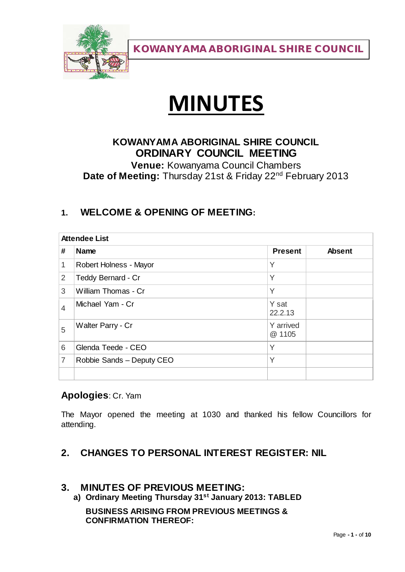

# **MINUTES**

# **KOWANYAMA ABORIGINAL SHIRE COUNCIL ORDINARY COUNCIL MEETING**

**Venue:** Kowanyama Council Chambers Date of Meeting: Thursday 21st & Friday 22<sup>nd</sup> February 2013

## **1. WELCOME & OPENING OF MEETING:**

| <b>Attendee List</b> |                           |                     |               |
|----------------------|---------------------------|---------------------|---------------|
| #                    | <b>Name</b>               | <b>Present</b>      | <b>Absent</b> |
| 1                    | Robert Holness - Mayor    | Y                   |               |
| $\overline{2}$       | Teddy Bernard - Cr        | Y                   |               |
| 3                    | William Thomas - Cr       | Y                   |               |
| 4                    | Michael Yam - Cr          | Y sat<br>22.2.13    |               |
| 5                    | Walter Parry - Cr         | Y arrived<br>@ 1105 |               |
| 6                    | Glenda Teede - CEO        | Υ                   |               |
| 7                    | Robbie Sands - Deputy CEO | Y                   |               |
|                      |                           |                     |               |

#### **Apologies**: Cr. Yam

The Mayor opened the meeting at 1030 and thanked his fellow Councillors for attending.

### **2. CHANGES TO PERSONAL INTEREST REGISTER: NIL**

#### **3. MINUTES OF PREVIOUS MEETING:**

**a) Ordinary Meeting Thursday 31st January 2013: TABLED**

**BUSINESS ARISING FROM PREVIOUS MEETINGS & CONFIRMATION THEREOF:**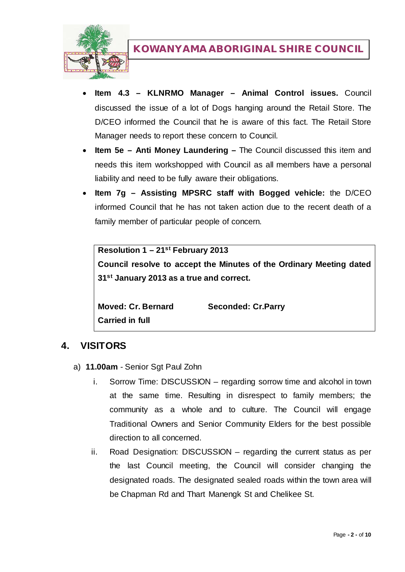

- **Item 4.3 – KLNRMO Manager – Animal Control issues.** Council discussed the issue of a lot of Dogs hanging around the Retail Store. The D/CEO informed the Council that he is aware of this fact. The Retail Store Manager needs to report these concern to Council.
- **Item 5e – Anti Money Laundering –** The Council discussed this item and needs this item workshopped with Council as all members have a personal liability and need to be fully aware their obligations.
- **Item 7g – Assisting MPSRC staff with Bogged vehicle:** the D/CEO informed Council that he has not taken action due to the recent death of a family member of particular people of concern.

**Resolution 1 – 21st February 2013 Council resolve to accept the Minutes of the Ordinary Meeting dated 31st January 2013 as a true and correct.**

**Moved: Cr. Bernard Seconded: Cr.Parry Carried in full**

### **4. VISITORS**

- a) **11.00am** Senior Sgt Paul Zohn
	- i. Sorrow Time: DISCUSSION regarding sorrow time and alcohol in town at the same time. Resulting in disrespect to family members; the community as a whole and to culture. The Council will engage Traditional Owners and Senior Community Elders for the best possible direction to all concerned.
	- ii. Road Designation: DISCUSSION regarding the current status as per the last Council meeting, the Council will consider changing the designated roads. The designated sealed roads within the town area will be Chapman Rd and Thart Manengk St and Chelikee St.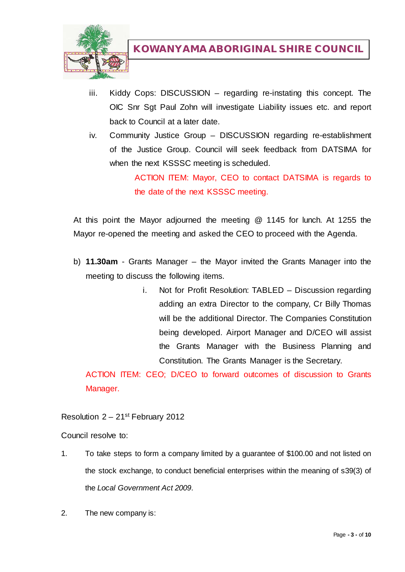

- iii. Kiddy Cops: DISCUSSION regarding re-instating this concept. The OIC Snr Sgt Paul Zohn will investigate Liability issues etc. and report back to Council at a later date.
- iv. Community Justice Group DISCUSSION regarding re-establishment of the Justice Group. Council will seek feedback from DATSIMA for when the next KSSSC meeting is scheduled.

ACTION ITEM: Mayor, CEO to contact DATSIMA is regards to the date of the next KSSSC meeting.

At this point the Mayor adjourned the meeting @ 1145 for lunch. At 1255 the Mayor re-opened the meeting and asked the CEO to proceed with the Agenda.

- b) **11.30am** Grants Manager the Mayor invited the Grants Manager into the meeting to discuss the following items.
	- i. Not for Profit Resolution: TABLED Discussion regarding adding an extra Director to the company, Cr Billy Thomas will be the additional Director. The Companies Constitution being developed. Airport Manager and D/CEO will assist the Grants Manager with the Business Planning and Constitution. The Grants Manager is the Secretary.

ACTION ITEM: CEO; D/CEO to forward outcomes of discussion to Grants Manager.

Resolution 2 – 21st February 2012

Council resolve to:

- 1. To take steps to form a company limited by a guarantee of \$100.00 and not listed on the stock exchange, to conduct beneficial enterprises within the meaning of s39(3) of the *Local Government Act 2009*.
- 2. The new company is: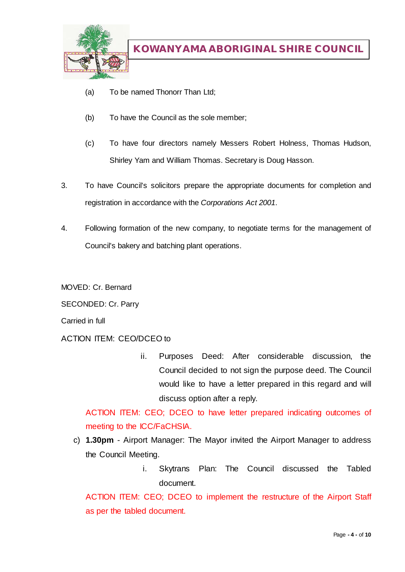

- (a) To be named Thonorr Than Ltd;
- (b) To have the Council as the sole member;
- (c) To have four directors namely Messers Robert Holness, Thomas Hudson, Shirley Yam and William Thomas. Secretary is Doug Hasson.
- 3. To have Council's solicitors prepare the appropriate documents for completion and registration in accordance with the *Corporations Act 2001*.
- 4. Following formation of the new company, to negotiate terms for the management of Council's bakery and batching plant operations.

MOVED: Cr. Bernard

SECONDED: Cr. Parry

Carried in full

ACTION ITEM: CEO/DCEO to

ii. Purposes Deed: After considerable discussion, the Council decided to not sign the purpose deed. The Council would like to have a letter prepared in this regard and will discuss option after a reply.

ACTION ITEM: CEO; DCEO to have letter prepared indicating outcomes of meeting to the ICC/FaCHSIA.

- c) **1.30pm** Airport Manager: The Mayor invited the Airport Manager to address the Council Meeting.
	- i. Skytrans Plan: The Council discussed the Tabled document.

ACTION ITEM: CEO; DCEO to implement the restructure of the Airport Staff as per the tabled document.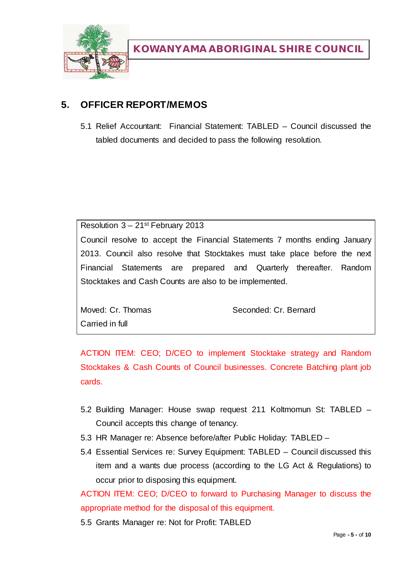

## **5. OFFICER REPORT/MEMOS**

5.1 Relief Accountant: Financial Statement: TABLED – Council discussed the tabled documents and decided to pass the following resolution.

Resolution  $3 - 21$ <sup>st</sup> February 2013

Council resolve to accept the Financial Statements 7 months ending January 2013. Council also resolve that Stocktakes must take place before the next Financial Statements are prepared and Quarterly thereafter. Random Stocktakes and Cash Counts are also to be implemented.

Carried in full

Moved: Cr. Thomas Seconded: Cr. Bernard

ACTION ITEM: CEO; D/CEO to implement Stocktake strategy and Random Stocktakes & Cash Counts of Council businesses. Concrete Batching plant job cards.

- 5.2 Building Manager: House swap request 211 Koltmomun St: TABLED Council accepts this change of tenancy.
- 5.3 HR Manager re: Absence before/after Public Holiday: TABLED –
- 5.4 Essential Services re: Survey Equipment: TABLED Council discussed this item and a wants due process (according to the LG Act & Regulations) to occur prior to disposing this equipment.

ACTION ITEM: CEO; D/CEO to forward to Purchasing Manager to discuss the appropriate method for the disposal of this equipment.

5.5 Grants Manager re: Not for Profit: TABLED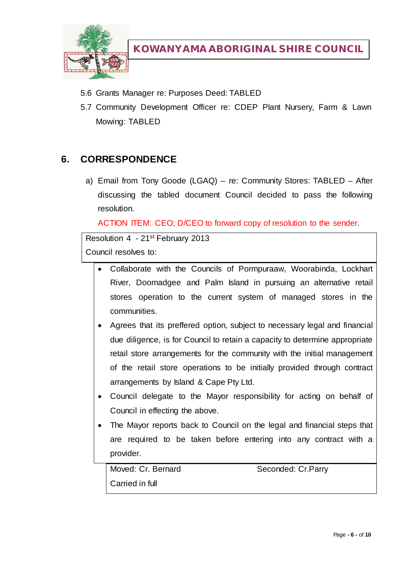

- 5.6 Grants Manager re: Purposes Deed: TABLED
- 5.7 Community Development Officer re: CDEP Plant Nursery, Farm & Lawn Mowing: TABLED

### **6. CORRESPONDENCE**

a) Email from Tony Goode (LGAQ) – re: Community Stores: TABLED – After discussing the tabled document Council decided to pass the following resolution.

ACTION ITEM: CEO; D/CEO to forward copy of resolution to the sender.

```
Resolution 4 - 21st February 2013
Council resolves to:
```
- Collaborate with the Councils of Pormpuraaw, Woorabinda, Lockhart River, Doomadgee and Palm Island in pursuing an alternative retail stores operation to the current system of managed stores in the communities.
- Agrees that its preffered option, subject to necessary legal and financial due diligence, is for Council to retain a capacity to determine appropriate retail store arrangements for the community with the initial management of the retail store operations to be initially provided through contract arrangements by Island & Cape Pty Ltd.
- Council delegate to the Mayor responsibility for acting on behalf of Council in effecting the above.
- The Mayor reports back to Council on the legal and financial steps that are required to be taken before entering into any contract with a provider.

Moved: Cr. Bernard Seconded: Cr. Parry Carried in full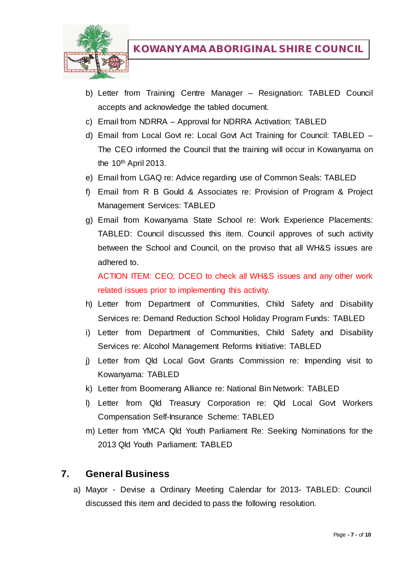

- b) Letter from Training Centre Manager Resignation: TABLED Council accepts and acknowledge the tabled document.
- c) Email from NDRRA Approval for NDRRA Activation: TABLED
- d) Email from Local Govt re: Local Govt Act Training for Council: TABLED The CEO informed the Council that the training will occur in Kowanyama on the  $10<sup>th</sup>$  April 2013.
- e) Email from LGAQ re: Advice regarding use of Common Seals: TABLED
- f) Email from R B Gould & Associates re: Provision of Program & Project Management Services: TABLED
- g) Email from Kowanyama State School re: Work Experience Placements: TABLED: Council discussed this item. Council approves of such activity between the School and Council, on the proviso that all WH&S issues are adhered to.

ACTION ITEM: CEO; DCEO to check all WH&S issues and any other work related issues prior to implementing this activity.

- h) Letter from Department of Communities, Child Safety and Disability Services re: Demand Reduction School Holiday Program Funds: TABLED
- i) Letter from Department of Communities, Child Safety and Disability Services re: Alcohol Management Reforms Initiative: TABLED
- j) Letter from Qld Local Govt Grants Commission re: Impending visit to Kowanyama: TABLED
- k) Letter from Boomerang Alliance re: National Bin Network: TABLED
- l) Letter from Qld Treasury Corporation re: Qld Local Govt Workers Compensation Self-Insurance Scheme: TABLED
- m) Letter from YMCA Qld Youth Parliament Re: Seeking Nominations for the 2013 Qld Youth Parliament: TABLED

#### **7. General Business**

a) Mayor - Devise a Ordinary Meeting Calendar for 2013- TABLED: Council discussed this item and decided to pass the following resolution.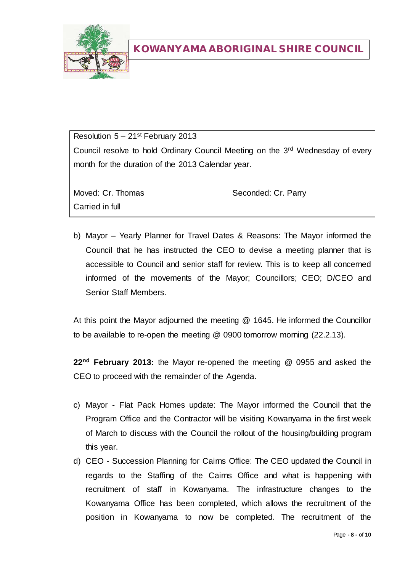

Resolution  $5 - 21$ <sup>st</sup> February 2013 Council resolve to hold Ordinary Council Meeting on the 3rd Wednesday of every month for the duration of the 2013 Calendar year.

Carried in full

Moved: Cr. Thomas Seconded: Cr. Parry

b) Mayor – Yearly Planner for Travel Dates & Reasons: The Mayor informed the Council that he has instructed the CEO to devise a meeting planner that is accessible to Council and senior staff for review. This is to keep all concerned informed of the movements of the Mayor; Councillors; CEO; D/CEO and Senior Staff Members.

At this point the Mayor adjourned the meeting @ 1645. He informed the Councillor to be available to re-open the meeting @ 0900 tomorrow morning (22.2.13).

**22nd February 2013:** the Mayor re-opened the meeting @ 0955 and asked the CEO to proceed with the remainder of the Agenda.

- c) Mayor Flat Pack Homes update: The Mayor informed the Council that the Program Office and the Contractor will be visiting Kowanyama in the first week of March to discuss with the Council the rollout of the housing/building program this year.
- d) CEO Succession Planning for Cairns Office: The CEO updated the Council in regards to the Staffing of the Cairns Office and what is happening with recruitment of staff in Kowanyama. The infrastructure changes to the Kowanyama Office has been completed, which allows the recruitment of the position in Kowanyama to now be completed. The recruitment of the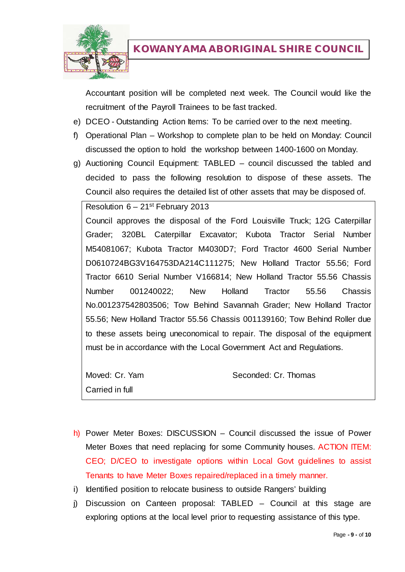

Accountant position will be completed next week. The Council would like the recruitment of the Payroll Trainees to be fast tracked.

- e) DCEO Outstanding Action Items: To be carried over to the next meeting.
- f) Operational Plan Workshop to complete plan to be held on Monday: Council discussed the option to hold the workshop between 1400-1600 on Monday.
- g) Auctioning Council Equipment: TABLED council discussed the tabled and decided to pass the following resolution to dispose of these assets. The Council also requires the detailed list of other assets that may be disposed of.

Resolution  $6 - 21$ <sup>st</sup> February 2013 Council approves the disposal of the Ford Louisville Truck; 12G Caterpillar Grader; 320BL Caterpillar Excavator; Kubota Tractor Serial Number M54081067; Kubota Tractor M4030D7; Ford Tractor 4600 Serial Number D0610724BG3V164753DA214C111275; New Holland Tractor 55.56; Ford Tractor 6610 Serial Number V166814; New Holland Tractor 55.56 Chassis Number 001240022; New Holland Tractor 55.56 Chassis No.001237542803506; Tow Behind Savannah Grader; New Holland Tractor 55.56; New Holland Tractor 55.56 Chassis 001139160; Tow Behind Roller due to these assets being uneconomical to repair. The disposal of the equipment must be in accordance with the Local Government Act and Regulations.

Moved: Cr. Yam Seconded: Cr. Thomas Carried in full

h) Power Meter Boxes: DISCUSSION – Council discussed the issue of Power Meter Boxes that need replacing for some Community houses. ACTION ITEM: CEO; D/CEO to investigate options within Local Govt guidelines to assist Tenants to have Meter Boxes repaired/replaced in a timely manner.

- i) Identified position to relocate business to outside Rangers' building
- j) Discussion on Canteen proposal: TABLED Council at this stage are exploring options at the local level prior to requesting assistance of this type.